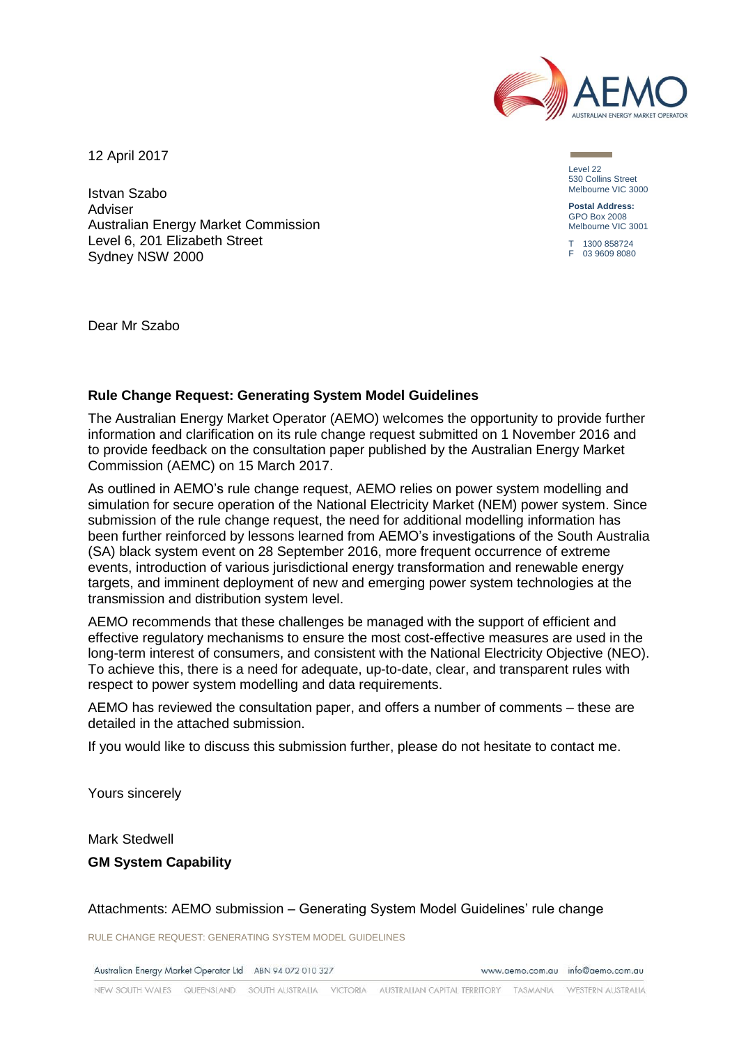

12 April 2017

Istvan Szabo Adviser Australian Energy Market Commission Level 6, 201 Elizabeth Street Sydney NSW 2000

Level 22 530 Collins Street Melbourne VIC 3000

**Postal Address:** GPO Box 2008 Melbourne VIC 3001

T 1300 858724 F 03 9609 8080

Dear Mr Szabo

## **Rule Change Request: Generating System Model Guidelines**

The Australian Energy Market Operator (AEMO) welcomes the opportunity to provide further information and clarification on its rule change request submitted on 1 November 2016 and to provide feedback on the consultation paper published by the Australian Energy Market Commission (AEMC) on 15 March 2017.

As outlined in AEMO's rule change request, AEMO relies on power system modelling and simulation for secure operation of the National Electricity Market (NEM) power system. Since submission of the rule change request, the need for additional modelling information has been further reinforced by lessons learned from AEMO's investigations of the South Australia (SA) black system event on 28 September 2016, more frequent occurrence of extreme events, introduction of various jurisdictional energy transformation and renewable energy targets, and imminent deployment of new and emerging power system technologies at the transmission and distribution system level.

AEMO recommends that these challenges be managed with the support of efficient and effective regulatory mechanisms to ensure the most cost-effective measures are used in the long-term interest of consumers, and consistent with the National Electricity Objective (NEO). To achieve this, there is a need for adequate, up-to-date, clear, and transparent rules with respect to power system modelling and data requirements.

AEMO has reviewed the consultation paper, and offers a number of comments – these are detailed in the attached submission.

If you would like to discuss this submission further, please do not hesitate to contact me.

Yours sincerely

Mark Stedwell

**GM System Capability** 

Attachments: AEMO submission – Generating System Model Guidelines' rule change

RULE CHANGE REQUEST: GENERATING SYSTEM MODEL GUIDELINES

Australian Energy Market Operator Ltd ABN 94 072 010 327

www.gemo.com.gu info@gemo.com.gu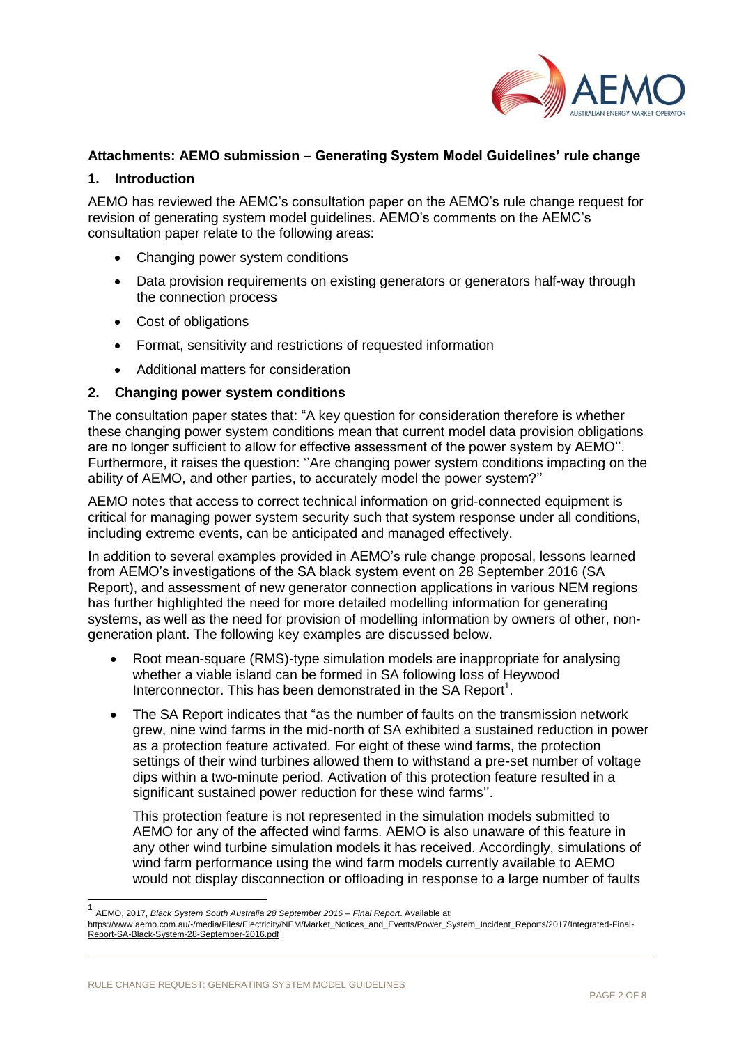

# **Attachments: AEMO submission – Generating System Model Guidelines' rule change**

## **1. Introduction**

AEMO has reviewed the AEMC's consultation paper on the AEMO's rule change request for revision of generating system model guidelines. AEMO's comments on the AEMC's consultation paper relate to the following areas:

- Changing power system conditions
- Data provision requirements on existing generators or generators half-way through the connection process
- Cost of obligations
- Format, sensitivity and restrictions of requested information
- Additional matters for consideration

### **2. Changing power system conditions**

The consultation paper states that: "A key question for consideration therefore is whether these changing power system conditions mean that current model data provision obligations are no longer sufficient to allow for effective assessment of the power system by AEMO''. Furthermore, it raises the question: ''Are changing power system conditions impacting on the ability of AEMO, and other parties, to accurately model the power system?''

AEMO notes that access to correct technical information on grid-connected equipment is critical for managing power system security such that system response under all conditions, including extreme events, can be anticipated and managed effectively.

In addition to several examples provided in AEMO's rule change proposal, lessons learned from AEMO's investigations of the SA black system event on 28 September 2016 (SA Report), and assessment of new generator connection applications in various NEM regions has further highlighted the need for more detailed modelling information for generating systems, as well as the need for provision of modelling information by owners of other, nongeneration plant. The following key examples are discussed below.

- Root mean-square (RMS)-type simulation models are inappropriate for analysing whether a viable island can be formed in SA following loss of Heywood Interconnector. This has been demonstrated in the SA Report<sup>1</sup>.
- The SA Report indicates that "as the number of faults on the transmission network grew, nine wind farms in the mid-north of SA exhibited a sustained reduction in power as a protection feature activated. For eight of these wind farms, the protection settings of their wind turbines allowed them to withstand a pre-set number of voltage dips within a two-minute period. Activation of this protection feature resulted in a significant sustained power reduction for these wind farms''.

This protection feature is not represented in the simulation models submitted to AEMO for any of the affected wind farms. AEMO is also unaware of this feature in any other wind turbine simulation models it has received. Accordingly, simulations of wind farm performance using the wind farm models currently available to AEMO would not display disconnection or offloading in response to a large number of faults

l

<sup>1</sup> AEMO, 2017, *Black System South Australia 28 September 2016* – *Final Report*. Available at:

[https://www.aemo.com.au/-/media/Files/Electricity/NEM/Market\\_Notices\\_and\\_Events/Power\\_System\\_Incident\\_Reports/2017/Integrated-Final-](https://www.aemo.com.au/-/media/Files/Electricity/NEM/Market_Notices_and_Events/Power_System_Incident_Reports/2017/Integrated-Final-Report-SA-Black-System-28-September-2016.pdf)[Report-SA-Black-System-28-September-2016.pdf](https://www.aemo.com.au/-/media/Files/Electricity/NEM/Market_Notices_and_Events/Power_System_Incident_Reports/2017/Integrated-Final-Report-SA-Black-System-28-September-2016.pdf)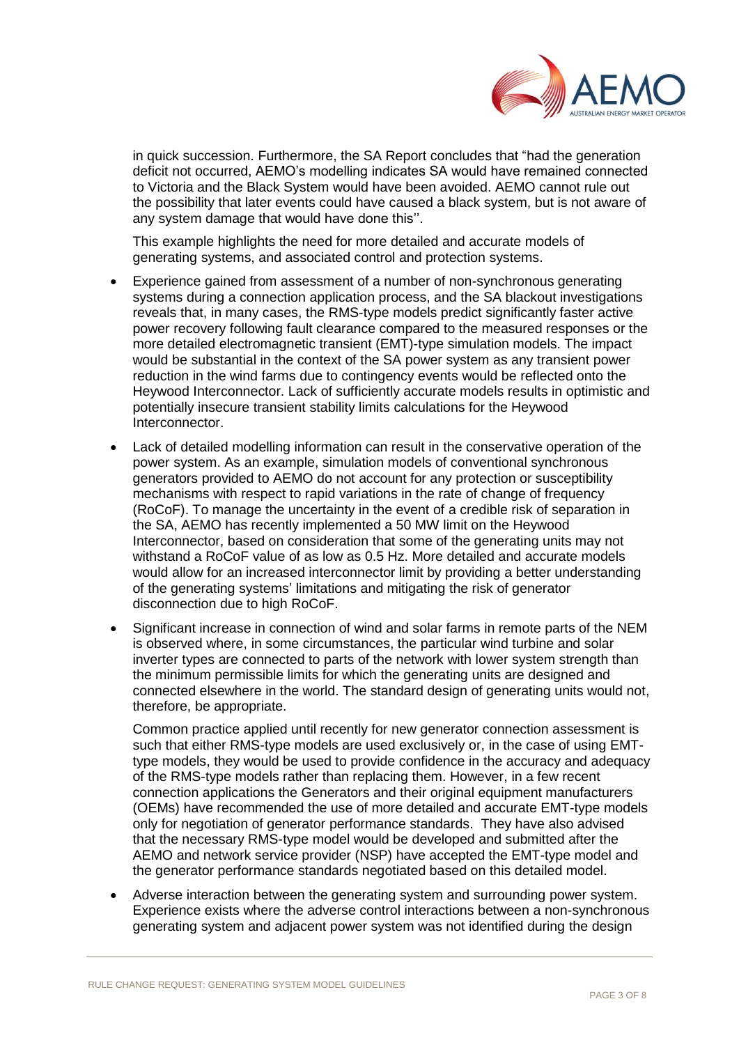

in quick succession. Furthermore, the SA Report concludes that "had the generation deficit not occurred, AEMO's modelling indicates SA would have remained connected to Victoria and the Black System would have been avoided. AEMO cannot rule out the possibility that later events could have caused a black system, but is not aware of any system damage that would have done this''.

This example highlights the need for more detailed and accurate models of generating systems, and associated control and protection systems.

- Experience gained from assessment of a number of non-synchronous generating systems during a connection application process, and the SA blackout investigations reveals that, in many cases, the RMS-type models predict significantly faster active power recovery following fault clearance compared to the measured responses or the more detailed electromagnetic transient (EMT)-type simulation models. The impact would be substantial in the context of the SA power system as any transient power reduction in the wind farms due to contingency events would be reflected onto the Heywood Interconnector. Lack of sufficiently accurate models results in optimistic and potentially insecure transient stability limits calculations for the Heywood **Interconnector**
- Lack of detailed modelling information can result in the conservative operation of the power system. As an example, simulation models of conventional synchronous generators provided to AEMO do not account for any protection or susceptibility mechanisms with respect to rapid variations in the rate of change of frequency (RoCoF). To manage the uncertainty in the event of a credible risk of separation in the SA, AEMO has recently implemented a 50 MW limit on the Heywood Interconnector, based on consideration that some of the generating units may not withstand a RoCoF value of as low as 0.5 Hz. More detailed and accurate models would allow for an increased interconnector limit by providing a better understanding of the generating systems' limitations and mitigating the risk of generator disconnection due to high RoCoF.
- Significant increase in connection of wind and solar farms in remote parts of the NEM is observed where, in some circumstances, the particular wind turbine and solar inverter types are connected to parts of the network with lower system strength than the minimum permissible limits for which the generating units are designed and connected elsewhere in the world. The standard design of generating units would not, therefore, be appropriate.

Common practice applied until recently for new generator connection assessment is such that either RMS-type models are used exclusively or, in the case of using EMTtype models, they would be used to provide confidence in the accuracy and adequacy of the RMS-type models rather than replacing them. However, in a few recent connection applications the Generators and their original equipment manufacturers (OEMs) have recommended the use of more detailed and accurate EMT-type models only for negotiation of generator performance standards. They have also advised that the necessary RMS-type model would be developed and submitted after the AEMO and network service provider (NSP) have accepted the EMT-type model and the generator performance standards negotiated based on this detailed model.

 Adverse interaction between the generating system and surrounding power system. Experience exists where the adverse control interactions between a non-synchronous generating system and adjacent power system was not identified during the design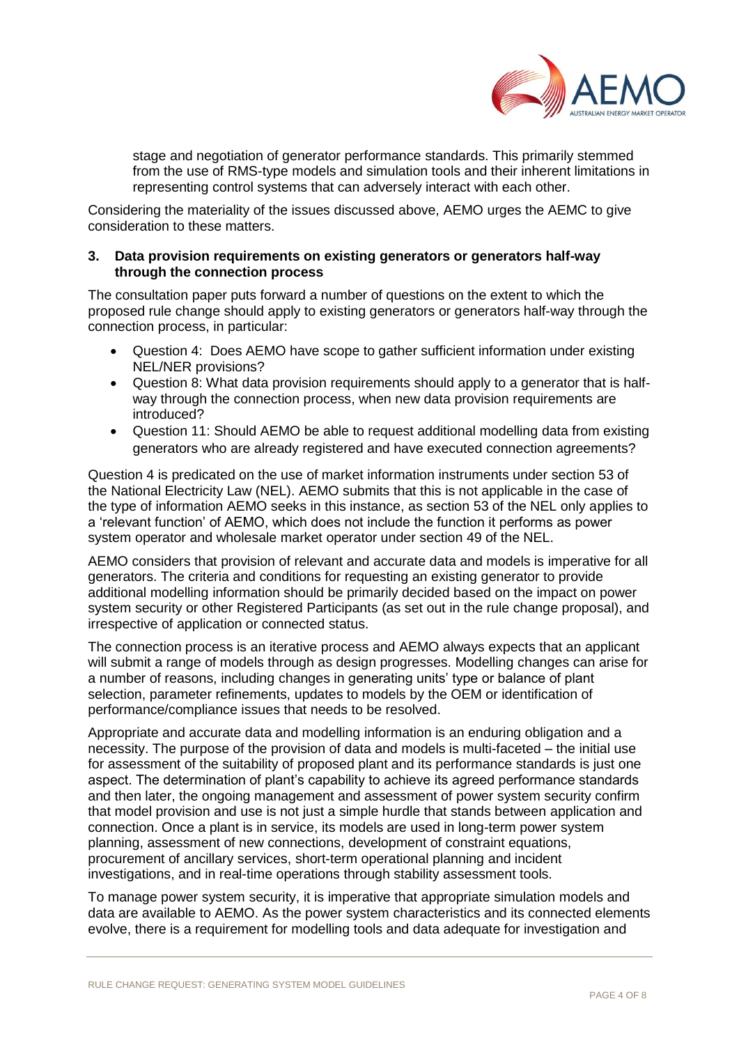

stage and negotiation of generator performance standards. This primarily stemmed from the use of RMS-type models and simulation tools and their inherent limitations in representing control systems that can adversely interact with each other.

Considering the materiality of the issues discussed above, AEMO urges the AEMC to give consideration to these matters.

#### **3. Data provision requirements on existing generators or generators half-way through the connection process**

The consultation paper puts forward a number of questions on the extent to which the proposed rule change should apply to existing generators or generators half-way through the connection process, in particular:

- Question 4: Does AEMO have scope to gather sufficient information under existing NEL/NER provisions?
- Question 8: What data provision requirements should apply to a generator that is halfway through the connection process, when new data provision requirements are introduced?
- Question 11: Should AEMO be able to request additional modelling data from existing generators who are already registered and have executed connection agreements?

Question 4 is predicated on the use of market information instruments under section 53 of the National Electricity Law (NEL). AEMO submits that this is not applicable in the case of the type of information AEMO seeks in this instance, as section 53 of the NEL only applies to a 'relevant function' of AEMO, which does not include the function it performs as power system operator and wholesale market operator under section 49 of the NEL.

AEMO considers that provision of relevant and accurate data and models is imperative for all generators. The criteria and conditions for requesting an existing generator to provide additional modelling information should be primarily decided based on the impact on power system security or other Registered Participants (as set out in the rule change proposal), and irrespective of application or connected status.

The connection process is an iterative process and AEMO always expects that an applicant will submit a range of models through as design progresses. Modelling changes can arise for a number of reasons, including changes in generating units' type or balance of plant selection, parameter refinements, updates to models by the OEM or identification of performance/compliance issues that needs to be resolved.

Appropriate and accurate data and modelling information is an enduring obligation and a necessity. The purpose of the provision of data and models is multi-faceted – the initial use for assessment of the suitability of proposed plant and its performance standards is just one aspect. The determination of plant's capability to achieve its agreed performance standards and then later, the ongoing management and assessment of power system security confirm that model provision and use is not just a simple hurdle that stands between application and connection. Once a plant is in service, its models are used in long-term power system planning, assessment of new connections, development of constraint equations, procurement of ancillary services, short-term operational planning and incident investigations, and in real-time operations through stability assessment tools.

To manage power system security, it is imperative that appropriate simulation models and data are available to AEMO. As the power system characteristics and its connected elements evolve, there is a requirement for modelling tools and data adequate for investigation and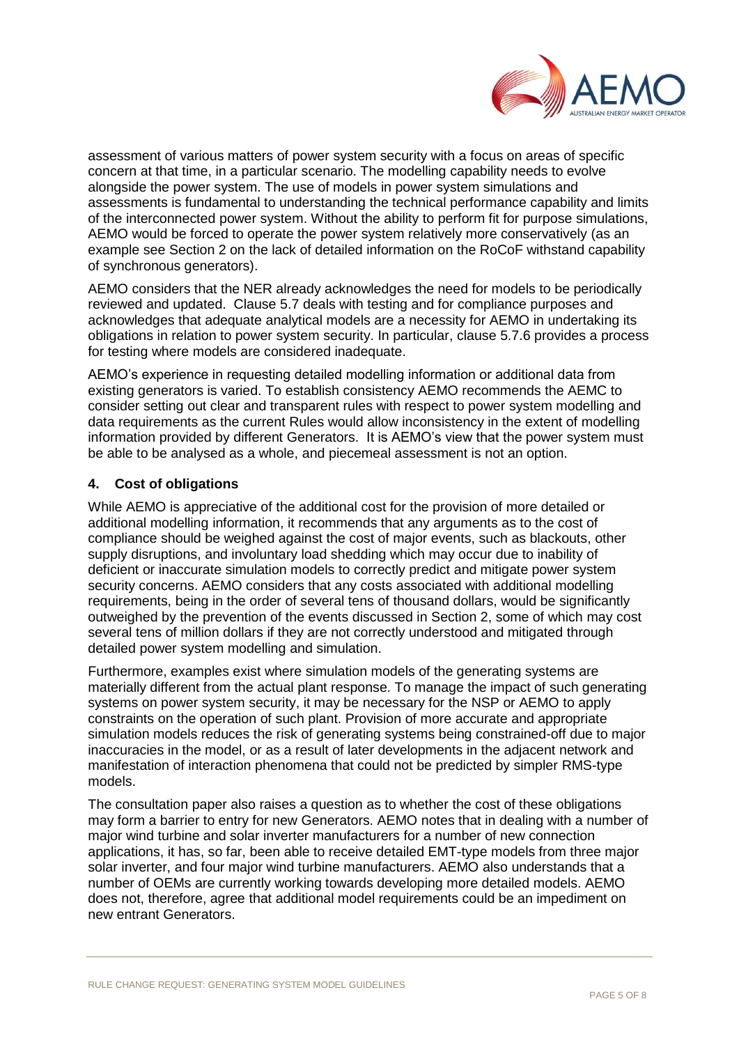

assessment of various matters of power system security with a focus on areas of specific concern at that time, in a particular scenario. The modelling capability needs to evolve alongside the power system. The use of models in power system simulations and assessments is fundamental to understanding the technical performance capability and limits of the interconnected power system. Without the ability to perform fit for purpose simulations, AEMO would be forced to operate the power system relatively more conservatively (as an example see Section 2 on the lack of detailed information on the RoCoF withstand capability of synchronous generators).

AEMO considers that the NER already acknowledges the need for models to be periodically reviewed and updated. Clause 5.7 deals with testing and for compliance purposes and acknowledges that adequate analytical models are a necessity for AEMO in undertaking its obligations in relation to power system security. In particular, clause 5.7.6 provides a process for testing where models are considered inadequate.

AEMO's experience in requesting detailed modelling information or additional data from existing generators is varied. To establish consistency AEMO recommends the AEMC to consider setting out clear and transparent rules with respect to power system modelling and data requirements as the current Rules would allow inconsistency in the extent of modelling information provided by different Generators. It is AEMO's view that the power system must be able to be analysed as a whole, and piecemeal assessment is not an option.

## **4. Cost of obligations**

While AEMO is appreciative of the additional cost for the provision of more detailed or additional modelling information, it recommends that any arguments as to the cost of compliance should be weighed against the cost of major events, such as blackouts, other supply disruptions, and involuntary load shedding which may occur due to inability of deficient or inaccurate simulation models to correctly predict and mitigate power system security concerns. AEMO considers that any costs associated with additional modelling requirements, being in the order of several tens of thousand dollars, would be significantly outweighed by the prevention of the events discussed in Section 2, some of which may cost several tens of million dollars if they are not correctly understood and mitigated through detailed power system modelling and simulation.

Furthermore, examples exist where simulation models of the generating systems are materially different from the actual plant response. To manage the impact of such generating systems on power system security, it may be necessary for the NSP or AEMO to apply constraints on the operation of such plant. Provision of more accurate and appropriate simulation models reduces the risk of generating systems being constrained-off due to major inaccuracies in the model, or as a result of later developments in the adjacent network and manifestation of interaction phenomena that could not be predicted by simpler RMS-type models.

The consultation paper also raises a question as to whether the cost of these obligations may form a barrier to entry for new Generators. AEMO notes that in dealing with a number of major wind turbine and solar inverter manufacturers for a number of new connection applications, it has, so far, been able to receive detailed EMT-type models from three major solar inverter, and four major wind turbine manufacturers. AEMO also understands that a number of OEMs are currently working towards developing more detailed models. AEMO does not, therefore, agree that additional model requirements could be an impediment on new entrant Generators.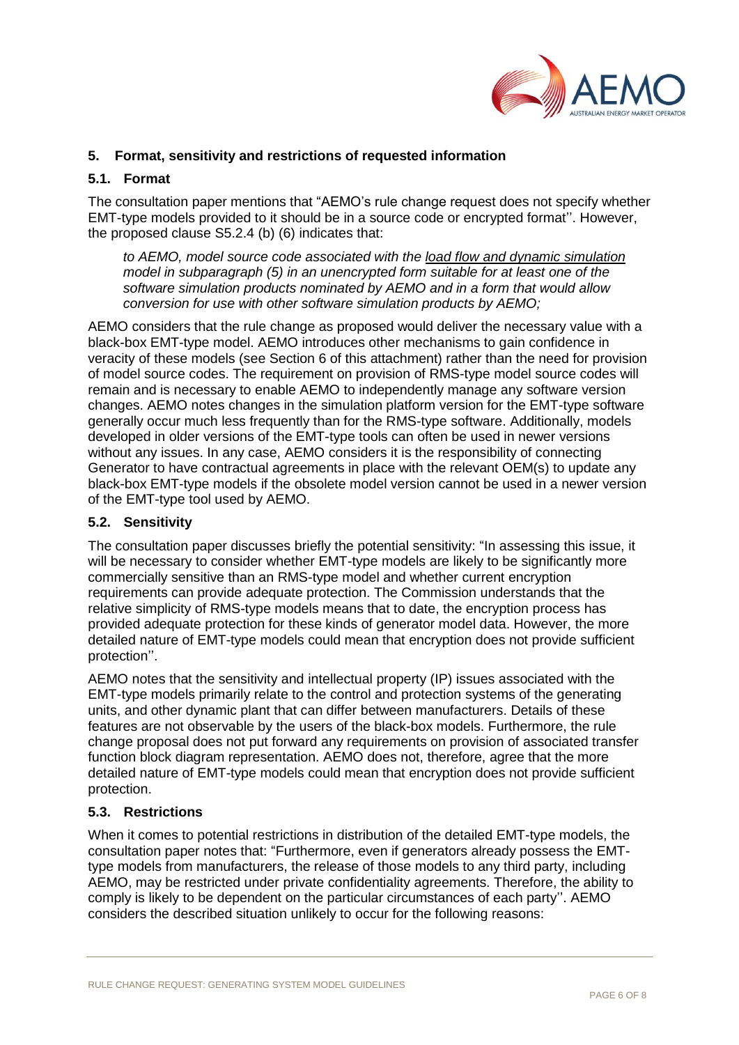

## **5. Format, sensitivity and restrictions of requested information**

## **5.1. Format**

The consultation paper mentions that "AEMO's rule change request does not specify whether EMT-type models provided to it should be in a source code or encrypted format''. However, the proposed clause S5.2.4 (b) (6) indicates that:

*to AEMO, model source code associated with the load flow and dynamic simulation model in subparagraph (5) in an unencrypted form suitable for at least one of the software simulation products nominated by AEMO and in a form that would allow conversion for use with other software simulation products by AEMO;*

AEMO considers that the rule change as proposed would deliver the necessary value with a black-box EMT-type model. AEMO introduces other mechanisms to gain confidence in veracity of these models (see Section 6 of this attachment) rather than the need for provision of model source codes. The requirement on provision of RMS-type model source codes will remain and is necessary to enable AEMO to independently manage any software version changes. AEMO notes changes in the simulation platform version for the EMT-type software generally occur much less frequently than for the RMS-type software. Additionally, models developed in older versions of the EMT-type tools can often be used in newer versions without any issues. In any case, AEMO considers it is the responsibility of connecting Generator to have contractual agreements in place with the relevant OEM(s) to update any black-box EMT-type models if the obsolete model version cannot be used in a newer version of the EMT-type tool used by AEMO.

## **5.2. Sensitivity**

The consultation paper discusses briefly the potential sensitivity: "In assessing this issue, it will be necessary to consider whether EMT-type models are likely to be significantly more commercially sensitive than an RMS-type model and whether current encryption requirements can provide adequate protection. The Commission understands that the relative simplicity of RMS-type models means that to date, the encryption process has provided adequate protection for these kinds of generator model data. However, the more detailed nature of EMT-type models could mean that encryption does not provide sufficient protection''.

AEMO notes that the sensitivity and intellectual property (IP) issues associated with the EMT-type models primarily relate to the control and protection systems of the generating units, and other dynamic plant that can differ between manufacturers. Details of these features are not observable by the users of the black-box models. Furthermore, the rule change proposal does not put forward any requirements on provision of associated transfer function block diagram representation. AEMO does not, therefore, agree that the more detailed nature of EMT-type models could mean that encryption does not provide sufficient protection.

## **5.3. Restrictions**

When it comes to potential restrictions in distribution of the detailed EMT-type models, the consultation paper notes that: "Furthermore, even if generators already possess the EMTtype models from manufacturers, the release of those models to any third party, including AEMO, may be restricted under private confidentiality agreements. Therefore, the ability to comply is likely to be dependent on the particular circumstances of each party''. AEMO considers the described situation unlikely to occur for the following reasons: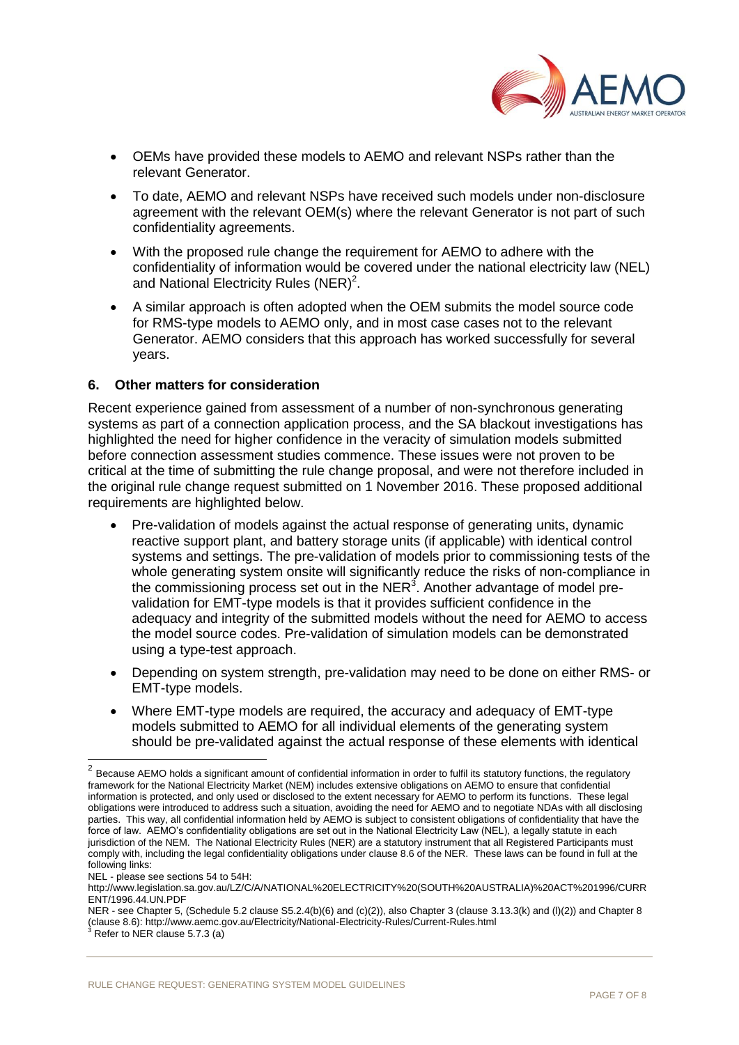

- OEMs have provided these models to AEMO and relevant NSPs rather than the relevant Generator.
- To date, AEMO and relevant NSPs have received such models under non-disclosure agreement with the relevant OEM(s) where the relevant Generator is not part of such confidentiality agreements.
- With the proposed rule change the requirement for AEMO to adhere with the confidentiality of information would be covered under the national electricity law (NEL) and National Electricity Rules (NER)<sup>2</sup>.
- A similar approach is often adopted when the OEM submits the model source code for RMS-type models to AEMO only, and in most case cases not to the relevant Generator. AEMO considers that this approach has worked successfully for several years.

### **6. Other matters for consideration**

Recent experience gained from assessment of a number of non-synchronous generating systems as part of a connection application process, and the SA blackout investigations has highlighted the need for higher confidence in the veracity of simulation models submitted before connection assessment studies commence. These issues were not proven to be critical at the time of submitting the rule change proposal, and were not therefore included in the original rule change request submitted on 1 November 2016. These proposed additional requirements are highlighted below.

- Pre-validation of models against the actual response of generating units, dynamic reactive support plant, and battery storage units (if applicable) with identical control systems and settings. The pre-validation of models prior to commissioning tests of the whole generating system onsite will significantly reduce the risks of non-compliance in the commissioning process set out in the NER $^3$ . Another advantage of model prevalidation for EMT-type models is that it provides sufficient confidence in the adequacy and integrity of the submitted models without the need for AEMO to access the model source codes. Pre-validation of simulation models can be demonstrated using a type-test approach.
- Depending on system strength, pre-validation may need to be done on either RMS- or EMT-type models.
- Where EMT-type models are required, the accuracy and adequacy of EMT-type models submitted to AEMO for all individual elements of the generating system should be pre-validated against the actual response of these elements with identical

NEL - please see sections 54 to 54H:

 $^2$  Because AEMO holds a significant amount of confidential information in order to fulfil its statutory functions, the regulatory framework for the National Electricity Market (NEM) includes extensive obligations on AEMO to ensure that confidential information is protected, and only used or disclosed to the extent necessary for AEMO to perform its functions. These legal obligations were introduced to address such a situation, avoiding the need for AEMO and to negotiate NDAs with all disclosing parties. This way, all confidential information held by AEMO is subject to consistent obligations of confidentiality that have the force of law. AEMO's confidentiality obligations are set out in the National Electricity Law (NEL), a legally statute in each jurisdiction of the NEM. The National Electricity Rules (NER) are a statutory instrument that all Registered Participants must comply with, including the legal confidentiality obligations under clause 8.6 of the NER. These laws can be found in full at the following links:

http://www.legislation.sa.gov.au/LZ/C/A/NATIONAL%20ELECTRICITY%20(SOUTH%20AUSTRALIA)%20ACT%201996/CURR ENT/1996.44.UN.PDF

NER - see Chapter 5, (Schedule 5.2 clause S5.2.4(b)(6) and (c)(2)), also Chapter 3 (clause 3.13.3(k) and (l)(2)) and Chapter 8 (clause 8.6): http://www.aemc.gov.au/Electricity/National-Electricity-Rules/Current-Rules.html

Refer to NER clause 5.7.3 (a)